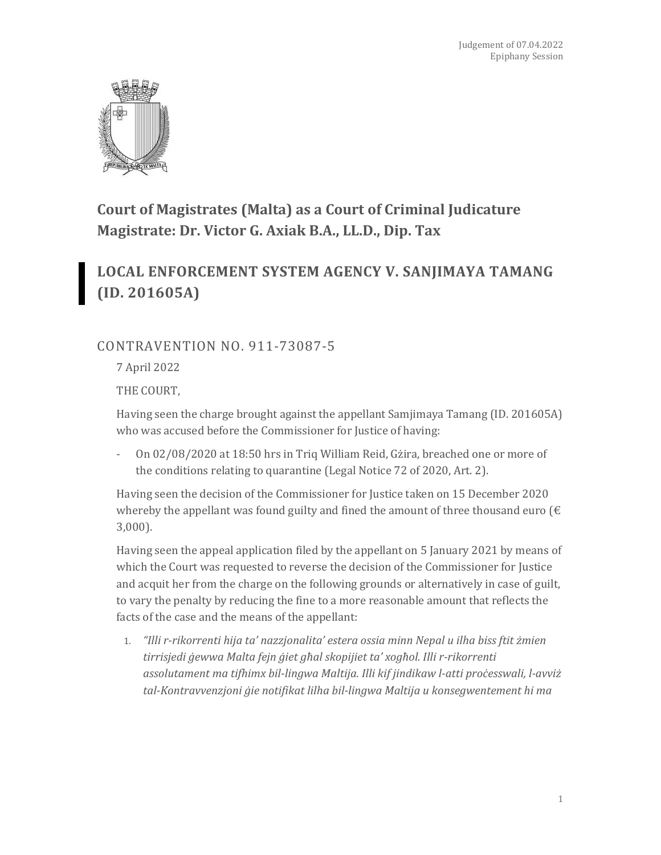

## **Court of Magistrates (Malta) as a Court of Criminal Judicature Magistrate: Dr. Victor G. Axiak B.A., LL.D., Dip. Tax**

# **LOCAL ENFORCEMENT SYSTEM AGENCY V. SANJIMAYA TAMANG (ID. 201605A)**

### CONTRAVENTION NO. 911-73087-5

7 April 2022

THE COURT,

Having seen the charge brought against the appellant Samjimaya Tamang (ID. 201605A) who was accused before the Commissioner for Justice of having:

- On 02/08/2020 at 18:50 hrs in Triq William Reid, Gżira, breached one or more of the conditions relating to quarantine (Legal Notice 72 of 2020, Art. 2).

Having seen the decision of the Commissioner for Justice taken on 15 December 2020 whereby the appellant was found guilty and fined the amount of three thousand euro ( $\epsilon$ 3,000).

Having seen the appeal application filed by the appellant on 5 January 2021 by means of which the Court was requested to reverse the decision of the Commissioner for Justice and acquit her from the charge on the following grounds or alternatively in case of guilt, to vary the penalty by reducing the fine to a more reasonable amount that reflects the facts of the case and the means of the appellant:

1. *"Illi r-rikorrenti hija ta' nazzjonalita' estera ossia minn Nepal u ilha biss ftit żmien tirrisjedi ġewwa Malta fejn ġiet għal skopijiet ta' xogħol. Illi r-rikorrenti assolutament ma tifhimx bil-lingwa Maltija. Illi kif jindikaw l-atti proċesswali, l-avviż tal-Kontravvenzjoni ġie notifikat lilha bil-lingwa Maltija u konsegwentement hi ma*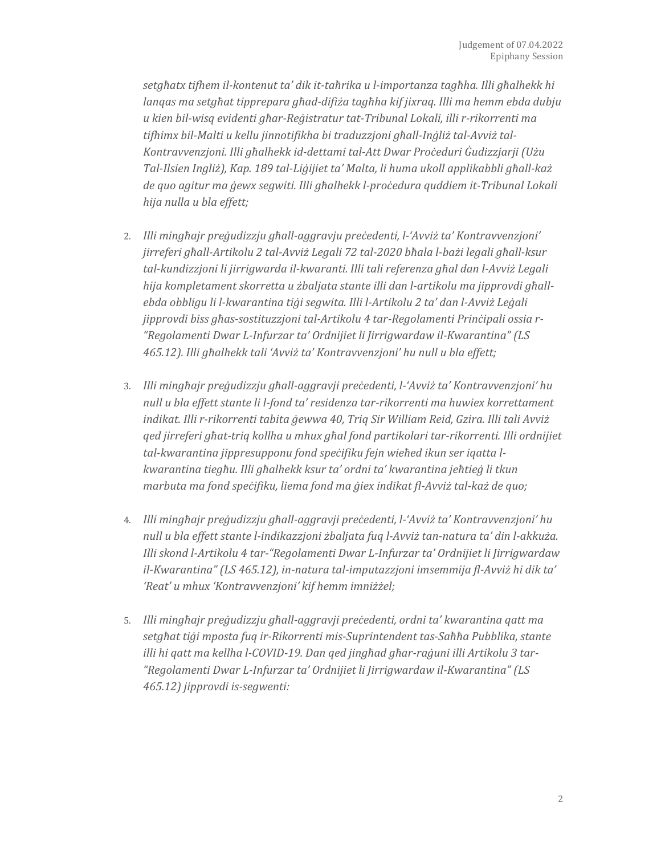*setgħatx tifhem il-kontenut ta' dik it-taħrika u l-importanza tagħha. Illi għalhekk hi lanqas ma setgħat tipprepara għad-difiża tagħha kif jixraq. Illi ma hemm ebda dubju u kien bil-wisq evidenti għar-Reġistratur tat-Tribunal Lokali, illi r-rikorrenti ma tifhimx bil-Malti u kellu jinnotifikha bi traduzzjoni għall-Inġliż tal-Avviż tal-Kontravvenzjoni. Illi għalhekk id-dettami tal-Att Dwar Proċeduri Ġudizzjarji (Użu Tal-Ilsien Ingliż), Kap. 189 tal-Liġijiet ta' Malta, li huma ukoll applikabbli għall-każ de quo agitur ma ġewx segwiti. Illi għalhekk l-proċedura quddiem it-Tribunal Lokali hija nulla u bla effett;*

- 2. *Illi mingħajr preġudizzju għall-aggravju preċedenti, l-'Avviż ta' Kontravvenzjoni' jirreferi għall-Artikolu 2 tal-Avviż Legali 72 tal-2020 bħala l-bażi legali għall-ksur tal-kundizzjoni li jirrigwarda il-kwaranti. Illi tali referenza għal dan l-Avviż Legali hija kompletament skorretta u żbaljata stante illi dan l-artikolu ma jipprovdi għallebda obbligu li l-kwarantina tiġi segwita. Illi l-Artikolu 2 ta' dan l-Avviż Leġali jipprovdi biss għas-sostituzzjoni tal-Artikolu 4 tar-Regolamenti Prinċipali ossia r- "Regolamenti Dwar L-Infurzar ta' Ordnijiet li Jirrigwardaw il-Kwarantina" (LS 465.12). Illi għalhekk tali 'Avviż ta' Kontravvenzjoni' hu null u bla effett;*
- 3. *Illi mingħajr preġudizzju għall-aggravji preċedenti, l-'Avviż ta' Kontravvenzjoni' hu null u bla effett stante li l-fond ta' residenza tar-rikorrenti ma huwiex korrettament indikat. Illi r-rikorrenti tabita ġewwa 40, Triq Sir William Reid, Gzira. Illi tali Avviż qed jirreferi għat-triq kollha u mhux għal fond partikolari tar-rikorrenti. Illi ordnijiet tal-kwarantina jippresupponu fond speċifiku fejn wieħed ikun ser iqatta lkwarantina tiegħu. Illi għalhekk ksur ta' ordni ta' kwarantina jeħtieġ li tkun marbuta ma fond speċifiku, liema fond ma ġiex indikat fl-Avviż tal-każ de quo;*
- 4. *Illi mingħajr preġudizzju għall-aggravji preċedenti, l-'Avviż ta' Kontravvenzjoni' hu null u bla effett stante l-indikazzjoni żbaljata fuq l-Avviż tan-natura ta' din l-akkuża. Illi skond l-Artikolu 4 tar-"Regolamenti Dwar L-Infurzar ta' Ordnijiet li Jirrigwardaw il-Kwarantina" (LS 465.12), in-natura tal-imputazzjoni imsemmija fl-Avviż hi dik ta' 'Reat' u mhux 'Kontravvenzjoni' kif hemm imniżżel;*
- 5. *Illi mingħajr preġudizzju għall-aggravji preċedenti, ordni ta' kwarantina qatt ma setgħat tiġi mposta fuq ir-Rikorrenti mis-Suprintendent tas-Saħħa Pubblika, stante illi hi qatt ma kellha l-COVID-19. Dan qed jingħad għar-raġuni illi Artikolu 3 tar- "Regolamenti Dwar L-Infurzar ta' Ordnijiet li Jirrigwardaw il-Kwarantina" (LS 465.12) jipprovdi is-segwenti:*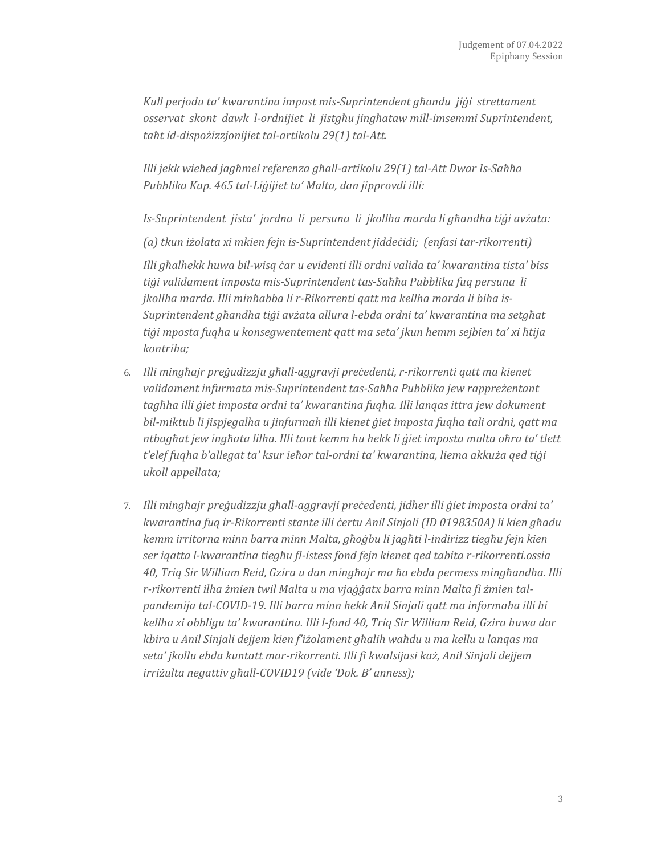*Kull perjodu ta' kwarantina impost mis-Suprintendent għandu jiġi strettament osservat skont dawk l-ordnijiet li jistgħu jingħataw mill-imsemmi Suprintendent, taħt id-dispożizzjonijiet tal-artikolu 29(1) tal-Att.*

*Illi jekk wieħed jagħmel referenza għall-artikolu 29(1) tal-Att Dwar Is-Saħħa Pubblika Kap. 465 tal-Liġijiet ta' Malta, dan jipprovdi illi:*

*Is-Suprintendent jista' jordna li persuna li jkollha marda li għandha tiġi avżata:*

*(a) tkun iżolata xi mkien fejn is-Suprintendent jiddeċidi; (enfasi tar-rikorrenti)*

*Illi għalhekk huwa bil-wisq ċar u evidenti illi ordni valida ta' kwarantina tista' biss tiġi validament imposta mis-Suprintendent tas-Saħħa Pubblika fuq persuna li jkollha marda. Illi minħabba li r-Rikorrenti qatt ma kellha marda li biha is-Suprintendent għandha tiġi avżata allura l-ebda ordni ta' kwarantina ma setgħat tiġi mposta fuqha u konsegwentement qatt ma seta' jkun hemm sejbien ta' xi ħtija kontriha;*

- 6. *Illi mingħajr preġudizzju għall-aggravji preċedenti, r-rikorrenti qatt ma kienet validament infurmata mis-Suprintendent tas-Saħħa Pubblika jew rappreżentant tagħha illi ġiet imposta ordni ta' kwarantina fuqha. Illi lanqas ittra jew dokument bil-miktub li jispjegalha u jinfurmah illi kienet ġiet imposta fuqha tali ordni, qatt ma ntbagħat jew ingħata lilha. Illi tant kemm hu hekk li ġiet imposta multa oħra ta' tlett t'elef fuqha b'allegat ta' ksur ieħor tal-ordni ta' kwarantina, liema akkuża qed tiġi ukoll appellata;*
- 7. *Illi mingħajr preġudizzju għall-aggravji preċedenti, jidher illi ġiet imposta ordni ta' kwarantina fuq ir-Rikorrenti stante illi ċertu Anil Sinjali (ID 0198350A) li kien għadu kemm irritorna minn barra minn Malta, għoġbu li jagħti l-indirizz tiegħu fejn kien ser iqatta l-kwarantina tiegħu fl-istess fond fejn kienet qed tabita r-rikorrenti.ossia 40, Triq Sir William Reid, Gzira u dan mingħajr ma ħa ebda permess mingħandha. Illi r-rikorrenti ilha żmien twil Malta u ma vjaġġatx barra minn Malta fi żmien talpandemija tal-COVID-19. Illi barra minn hekk Anil Sinjali qatt ma informaha illi hi kellha xi obbligu ta' kwarantina. Illi l-fond 40, Triq Sir William Reid, Gzira huwa dar kbira u Anil Sinjali dejjem kien f'iżolament għalih waħdu u ma kellu u lanqas ma seta' jkollu ebda kuntatt mar-rikorrenti. Illi fi kwalsijasi każ, Anil Sinjali dejjem irriżulta negattiv għall-COVID19 (vide 'Dok. B' anness);*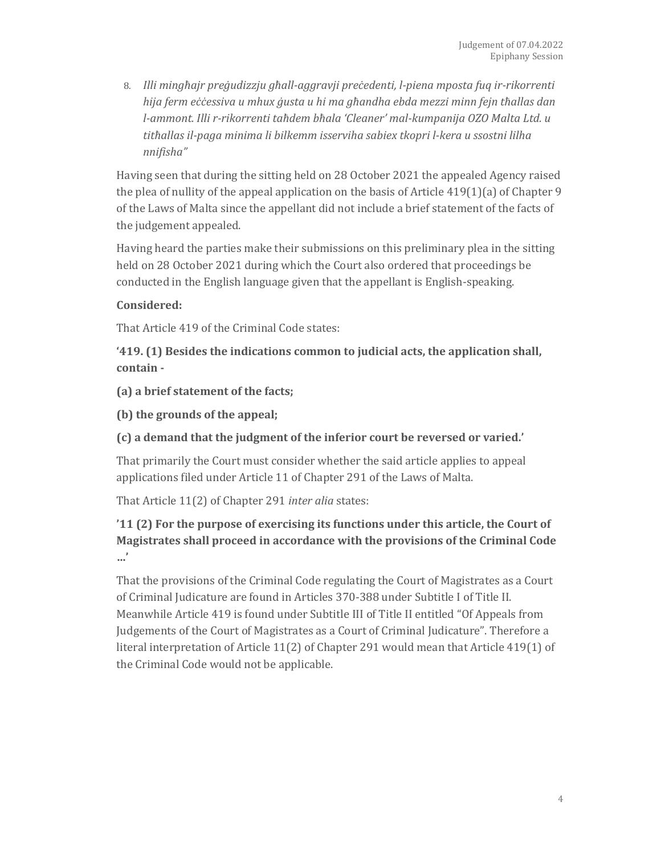8. *Illi mingħajr preġudizzju għall-aggravji preċedenti, l-piena mposta fuq ir-rikorrenti hija ferm eċċessiva u mhux ġusta u hi ma għandha ebda mezzi minn fejn tħallas dan l-ammont. Illi r-rikorrenti taħdem bħala 'Cleaner' mal-kumpanija OZO Malta Ltd. u titħallas il-paga minima li bilkemm isserviha sabiex tkopri l-kera u ssostni lilha nnifisha"*

Having seen that during the sitting held on 28 October 2021 the appealed Agency raised the plea of nullity of the appeal application on the basis of Article 419(1)(a) of Chapter 9 of the Laws of Malta since the appellant did not include a brief statement of the facts of the judgement appealed.

Having heard the parties make their submissions on this preliminary plea in the sitting held on 28 October 2021 during which the Court also ordered that proceedings be conducted in the English language given that the appellant is English-speaking.

#### **Considered:**

That Article 419 of the Criminal Code states:

**'419. (1) Besides the indications common to judicial acts, the application shall, contain -**

**(a) a brief statement of the facts;**

**(b) the grounds of the appeal;**

**(c) a demand that the judgment of the inferior court be reversed or varied.'**

That primarily the Court must consider whether the said article applies to appeal applications filed under Article 11 of Chapter 291 of the Laws of Malta.

That Article 11(2) of Chapter 291 *inter alia* states:

### **'11 (2) For the purpose of exercising its functions under this article, the Court of Magistrates shall proceed in accordance with the provisions of the Criminal Code …'**

That the provisions of the Criminal Code regulating the Court of Magistrates as a Court of Criminal Judicature are found in Articles 370-388 under Subtitle I of Title II. Meanwhile Article 419 is found under Subtitle III of Title II entitled "Of Appeals from Judgements of the Court of Magistrates as a Court of Criminal Judicature". Therefore a literal interpretation of Article 11(2) of Chapter 291 would mean that Article 419(1) of the Criminal Code would not be applicable.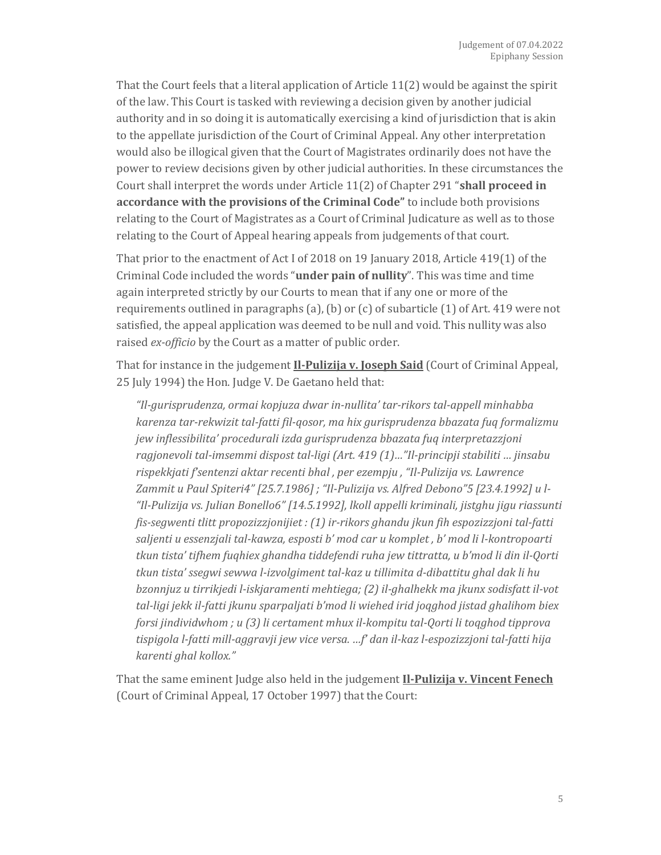That the Court feels that a literal application of Article 11(2) would be against the spirit of the law. This Court is tasked with reviewing a decision given by another judicial authority and in so doing it is automatically exercising a kind of jurisdiction that is akin to the appellate jurisdiction of the Court of Criminal Appeal. Any other interpretation would also be illogical given that the Court of Magistrates ordinarily does not have the power to review decisions given by other judicial authorities. In these circumstances the Court shall interpret the words under Article 11(2) of Chapter 291 "**shall proceed in accordance with the provisions of the Criminal Code"** to include both provisions relating to the Court of Magistrates as a Court of Criminal Judicature as well as to those relating to the Court of Appeal hearing appeals from judgements of that court.

That prior to the enactment of Act I of 2018 on 19 January 2018, Article 419(1) of the Criminal Code included the words "**under pain of nullity**". This was time and time again interpreted strictly by our Courts to mean that if any one or more of the requirements outlined in paragraphs (a), (b) or (c) of subarticle (1) of Art. 419 were not satisfied, the appeal application was deemed to be null and void. This nullity was also raised *ex-officio* by the Court as a matter of public order.

That for instance in the judgement **Il-Pulizija v. Joseph Said** (Court of Criminal Appeal, 25 July 1994) the Hon. Judge V. De Gaetano held that:

*"Il-gurisprudenza, ormai kopjuza dwar in-nullita' tar-rikors tal-appell minhabba karenza tar-rekwizit tal-fatti fil-qosor, ma hix gurisprudenza bbazata fuq formalizmu jew inflessibilita' procedurali izda gurisprudenza bbazata fuq interpretazzjoni ragjonevoli tal-imsemmi dispost tal-ligi (Art. 419 (1)…"Il-principji stabiliti … jinsabu rispekkjati f'sentenzi aktar recenti bhal , per ezempju , "Il-Pulizija vs. Lawrence Zammit u Paul Spiteri4" [25.7.1986] ; "Il-Pulizija vs. Alfred Debono"5 [23.4.1992] u l- "Il-Pulizija vs. Julian Bonello6" [14.5.1992], lkoll appelli kriminali, jistghu jigu riassunti fis-segwenti tlitt propozizzjonijiet : (1) ir-rikors ghandu jkun fih espozizzjoni tal-fatti saljenti u essenzjali tal-kawza, esposti b' mod car u komplet , b' mod li l-kontropoarti tkun tista' tifhem fuqhiex ghandha tiddefendi ruha jew tittratta, u b'mod li din il-Qorti tkun tista' ssegwi sewwa l-izvolgiment tal-kaz u tillimita d-dibattitu ghal dak li hu bzonnjuz u tirrikjedi l-iskjaramenti mehtiega; (2) il-ghalhekk ma jkunx sodisfatt il-vot tal-ligi jekk il-fatti jkunu sparpaljati b'mod li wiehed irid joqghod jistad ghalihom biex forsi jindividwhom ; u (3) li certament mhux il-kompitu tal-Qorti li toqghod tipprova tispigola l-fatti mill-aggravji jew vice versa. …f' dan il-kaz l-espozizzjoni tal-fatti hija karenti ghal kollox."*

That the same eminent Judge also held in the judgement **Il-Pulizija v. Vincent Fenech** (Court of Criminal Appeal, 17 October 1997) that the Court: